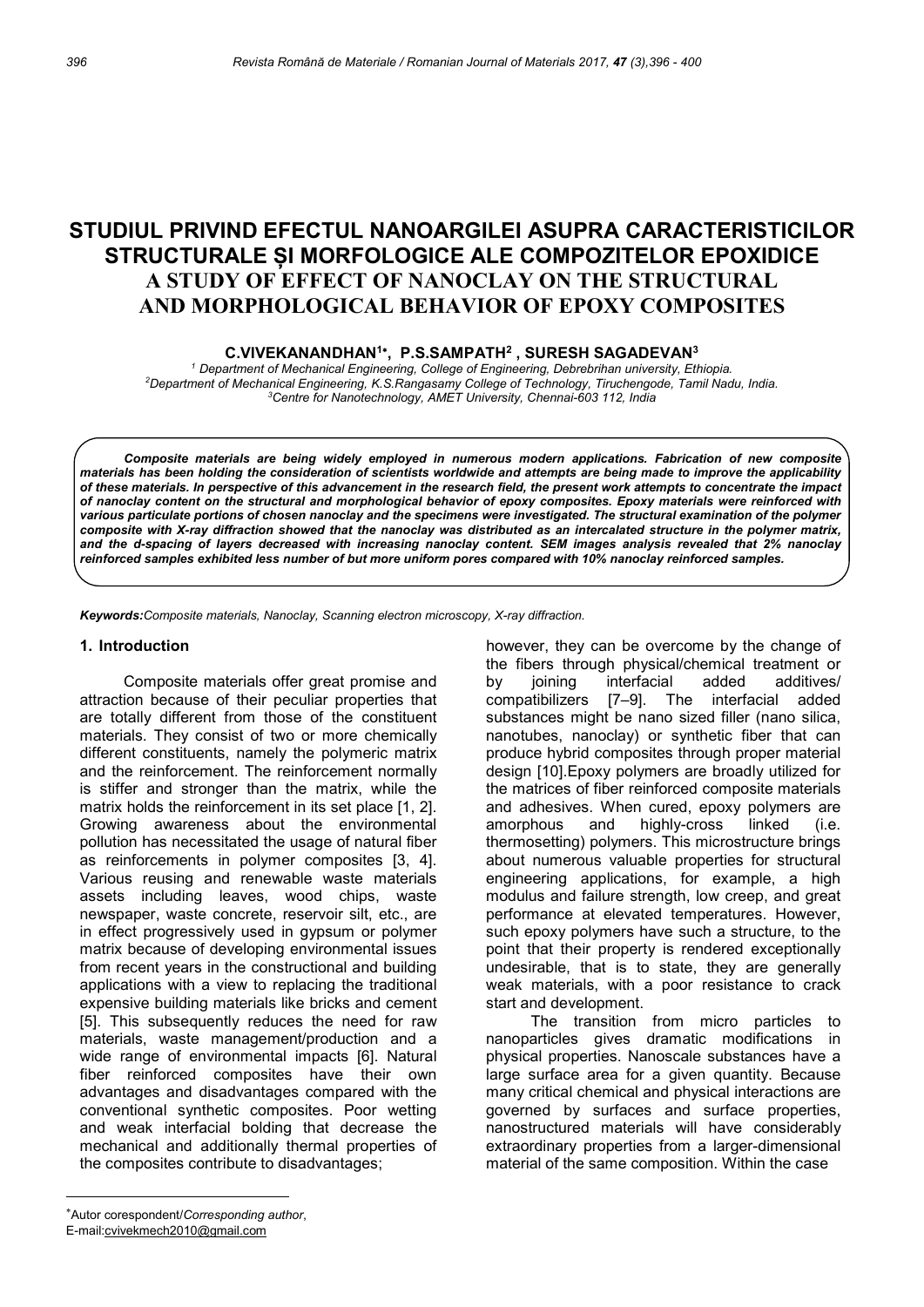# STUDIUL PRIVIND EFECTUL NANOARGILEI ASUPRA CARACTERISTICILOR STRUCTURALE ȘI MORFOLOGICE ALE COMPOZITELOR EPOXIDICE A STUDY OF EFFECT OF NANOCLAY ON THE STRUCTURAL AND MORPHOLOGICAL BEHAVIOR OF EPOXY COMPOSITES

C.VIVEKANANDHAN<sup>1\*</sup>, P.S.SAMPATH<sup>2</sup>, SURESH SAGADEVAN<sup>3</sup>

<sup>1</sup> Department of Mechanical Engineering, College of Engineering, Debrebrihan university, Ethiopia. <sup>2</sup>Department of Mechanical Engineering, K.S.Rangasamy College of Technology, Tiruchengode, Tamil Nadu, India. <sup>3</sup>Centre for Nanotechnology, AMET University, Chennai-603 112, India

Composite materials are being widely employed in numerous modern applications. Fabrication of new composite materials has been holding the consideration of scientists worldwide and attempts are being made to improve the applicability of these materials. In perspective of this advancement in the research field, the present work attempts to concentrate the impact of nanoclay content on the structural and morphological behavior of epoxy composites. Epoxy materials were reinforced with various particulate portions of chosen nanoclay and the specimens were investigated. The structural examination of the polymer composite with X-ray diffraction showed that the nanoclay was distributed as an intercalated structure in the polymer matrix, and the d-spacing of layers decreased with increasing nanoclay content. SEM images analysis revealed that 2% nanoclay reinforced samples exhibited less number of but more uniform pores compared with 10% nanoclay reinforced samples.

Keywords: Composite materials, Nanoclay, Scanning electron microscopy, X-ray diffraction.

#### 1. Introduction

Composite materials offer great promise and attraction because of their peculiar properties that are totally different from those of the constituent materials. They consist of two or more chemically different constituents, namely the polymeric matrix and the reinforcement. The reinforcement normally is stiffer and stronger than the matrix, while the matrix holds the reinforcement in its set place [1, 2]. Growing awareness about the environmental pollution has necessitated the usage of natural fiber as reinforcements in polymer composites [3, 4]. Various reusing and renewable waste materials assets including leaves, wood chips, waste newspaper, waste concrete, reservoir silt, etc., are in effect progressively used in gypsum or polymer matrix because of developing environmental issues from recent years in the constructional and building applications with a view to replacing the traditional expensive building materials like bricks and cement [5]. This subsequently reduces the need for raw materials, waste management/production and a wide range of environmental impacts [6]. Natural fiber reinforced composites have their own advantages and disadvantages compared with the conventional synthetic composites. Poor wetting and weak interfacial bolding that decrease the mechanical and additionally thermal properties of the composites contribute to disadvantages;

 however, they can be overcome by the change of the fibers through physical/chemical treatment or by joining interfacial added additives/ compatibilizers [7–9]. The interfacial added substances might be nano sized filler (nano silica, nanotubes, nanoclay) or synthetic fiber that can produce hybrid composites through proper material design [10].Epoxy polymers are broadly utilized for the matrices of fiber reinforced composite materials and adhesives. When cured, epoxy polymers are amorphous and highly-cross linked (i.e. thermosetting) polymers. This microstructure brings about numerous valuable properties for structural engineering applications, for example, a high modulus and failure strength, low creep, and great performance at elevated temperatures. However, such epoxy polymers have such a structure, to the point that their property is rendered exceptionally undesirable, that is to state, they are generally weak materials, with a poor resistance to crack start and development.

The transition from micro particles to nanoparticles gives dramatic modifications in physical properties. Nanoscale substances have a large surface area for a given quantity. Because many critical chemical and physical interactions are governed by surfaces and surface properties, nanostructured materials will have considerably extraordinary properties from a larger-dimensional material of the same composition. Within the case

Autor corespondent/Corresponding author,

E-mail:cvivekmech2010@gmail.com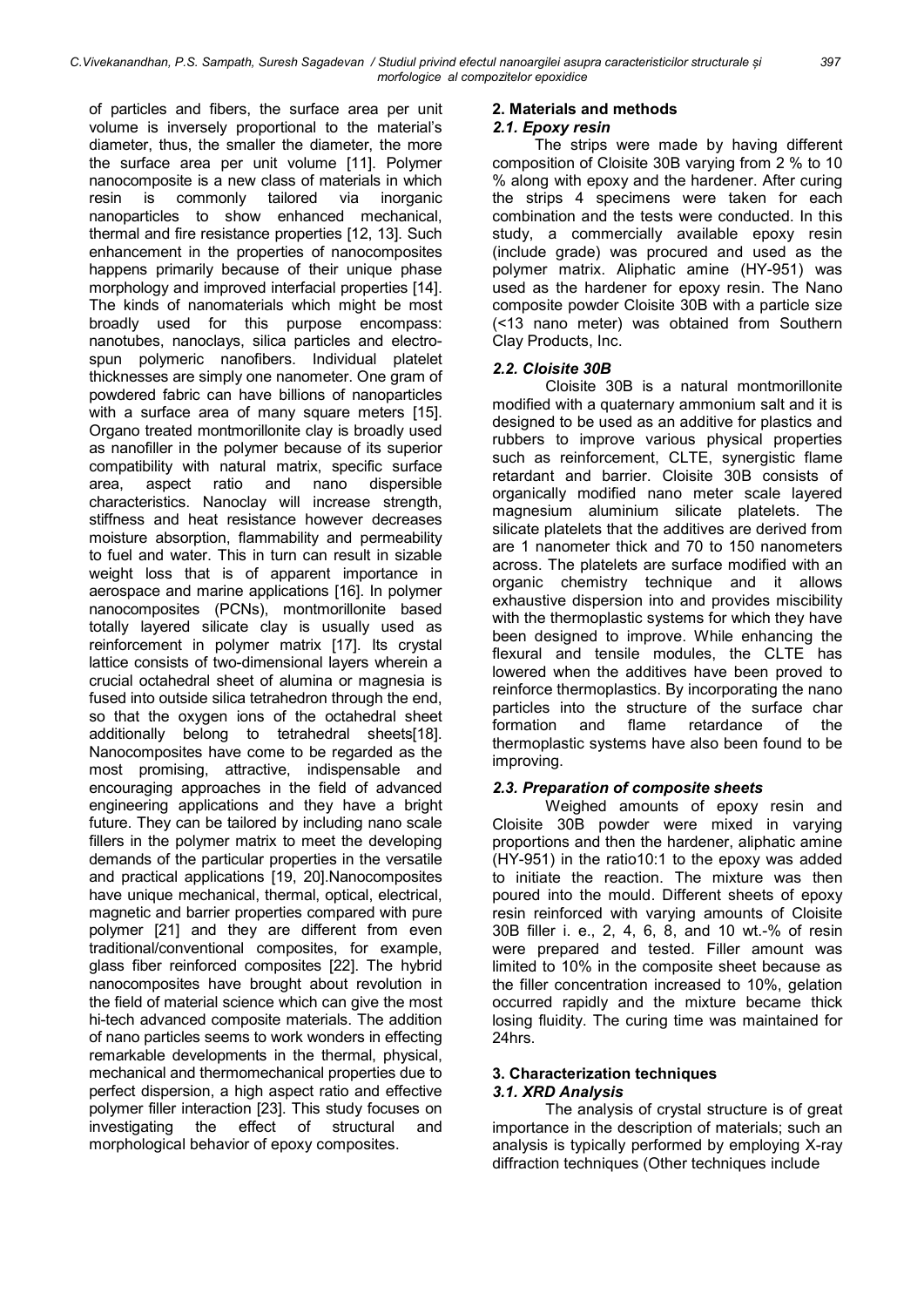of particles and fibers, the surface area per unit volume is inversely proportional to the material's diameter, thus, the smaller the diameter, the more the surface area per unit volume [11]. Polymer nanocomposite is a new class of materials in which resin is commonly tailored via inorganic nanoparticles to show enhanced mechanical, thermal and fire resistance properties [12, 13]. Such enhancement in the properties of nanocomposites happens primarily because of their unique phase morphology and improved interfacial properties [14]. The kinds of nanomaterials which might be most broadly used for this purpose encompass: nanotubes, nanoclays, silica particles and electrospun polymeric nanofibers. Individual platelet thicknesses are simply one nanometer. One gram of powdered fabric can have billions of nanoparticles with a surface area of many square meters [15]. Organo treated montmorillonite clay is broadly used as nanofiller in the polymer because of its superior compatibility with natural matrix, specific surface area, aspect ratio and nano dispersible characteristics. Nanoclay will increase strength, stiffness and heat resistance however decreases moisture absorption, flammability and permeability to fuel and water. This in turn can result in sizable weight loss that is of apparent importance in aerospace and marine applications [16]. In polymer nanocomposites (PCNs), montmorillonite based totally layered silicate clay is usually used as reinforcement in polymer matrix [17]. Its crystal lattice consists of two-dimensional layers wherein a crucial octahedral sheet of alumina or magnesia is fused into outside silica tetrahedron through the end, so that the oxygen ions of the octahedral sheet additionally belong to tetrahedral sheets[18]. Nanocomposites have come to be regarded as the most promising, attractive, indispensable and encouraging approaches in the field of advanced engineering applications and they have a bright future. They can be tailored by including nano scale fillers in the polymer matrix to meet the developing demands of the particular properties in the versatile and practical applications [19, 20].Nanocomposites have unique mechanical, thermal, optical, electrical, magnetic and barrier properties compared with pure polymer [21] and they are different from even traditional/conventional composites, for example, glass fiber reinforced composites [22]. The hybrid nanocomposites have brought about revolution in the field of material science which can give the most hi-tech advanced composite materials. The addition of nano particles seems to work wonders in effecting remarkable developments in the thermal, physical, mechanical and thermomechanical properties due to perfect dispersion, a high aspect ratio and effective polymer filler interaction [23]. This study focuses on investigating the effect of structural and morphological behavior of epoxy composites.

# 2. Materials and methods

## 2.1. Epoxy resin

The strips were made by having different composition of Cloisite 30B varying from 2 % to 10 % along with epoxy and the hardener. After curing the strips 4 specimens were taken for each combination and the tests were conducted. In this study, a commercially available epoxy resin (include grade) was procured and used as the polymer matrix. Aliphatic amine (HY-951) was used as the hardener for epoxy resin. The Nano composite powder Cloisite 30B with a particle size (<13 nano meter) was obtained from Southern Clay Products, Inc.

## 2.2. Cloisite 30B

Cloisite 30B is a natural montmorillonite modified with a quaternary ammonium salt and it is designed to be used as an additive for plastics and rubbers to improve various physical properties such as reinforcement, CLTE, synergistic flame retardant and barrier. Cloisite 30B consists of organically modified nano meter scale layered magnesium aluminium silicate platelets. The silicate platelets that the additives are derived from are 1 nanometer thick and 70 to 150 nanometers across. The platelets are surface modified with an organic chemistry technique and it allows exhaustive dispersion into and provides miscibility with the thermoplastic systems for which they have been designed to improve. While enhancing the flexural and tensile modules, the CLTE has lowered when the additives have been proved to reinforce thermoplastics. By incorporating the nano particles into the structure of the surface char formation and flame retardance of the thermoplastic systems have also been found to be improving.

# 2.3. Preparation of composite sheets

Weighed amounts of epoxy resin and Cloisite 30B powder were mixed in varying proportions and then the hardener, aliphatic amine (HY-951) in the ratio10:1 to the epoxy was added to initiate the reaction. The mixture was then poured into the mould. Different sheets of epoxy resin reinforced with varying amounts of Cloisite 30B filler i. e., 2, 4, 6, 8, and 10 wt.-% of resin were prepared and tested. Filler amount was limited to 10% in the composite sheet because as the filler concentration increased to 10%, gelation occurred rapidly and the mixture became thick losing fluidity. The curing time was maintained for 24hrs.

#### 3. Characterization techniques 3.1. XRD Analysis

The analysis of crystal structure is of great importance in the description of materials; such an analysis is typically performed by employing X-ray diffraction techniques (Other techniques include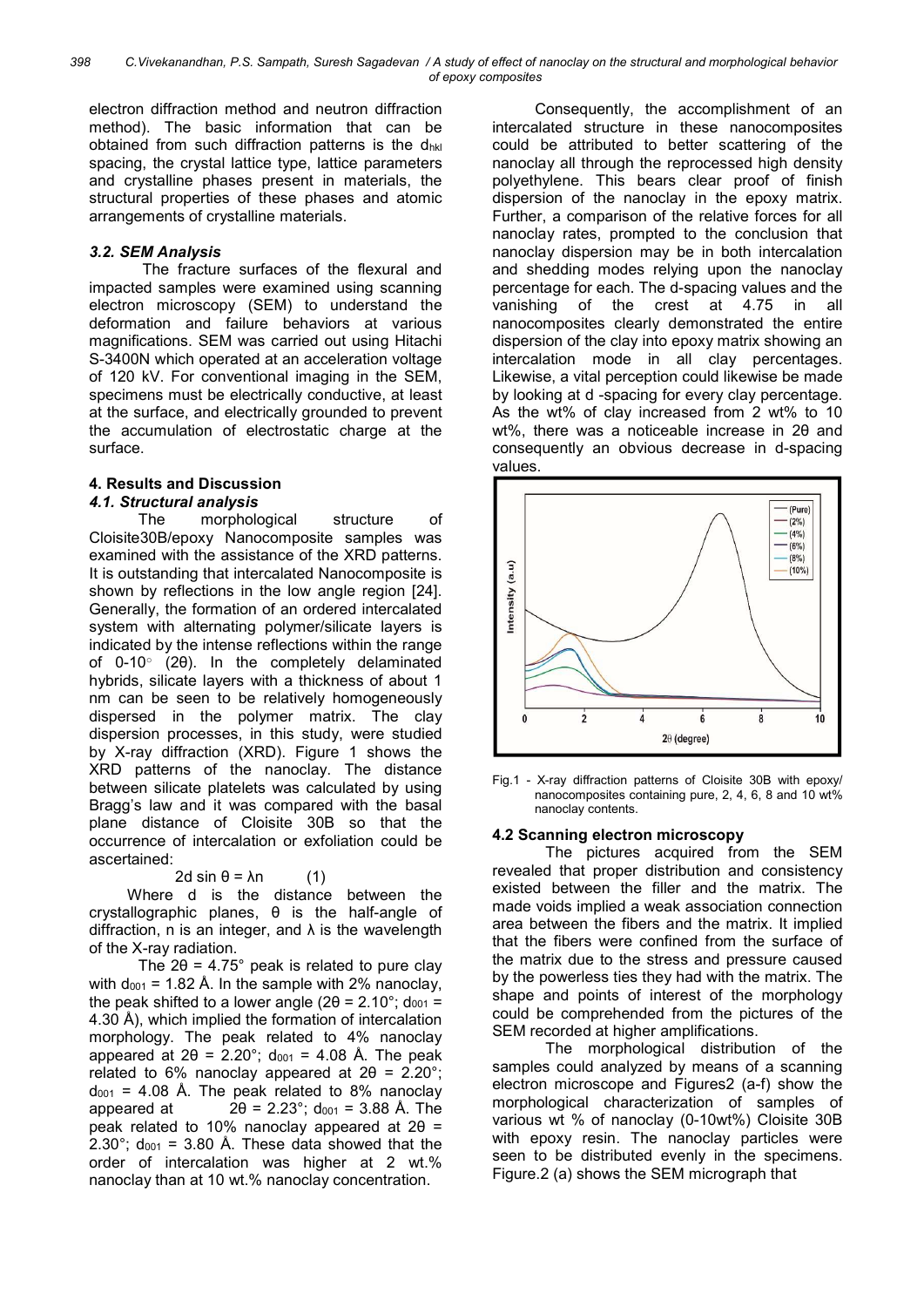electron diffraction method and neutron diffraction method). The basic information that can be obtained from such diffraction patterns is the  $d_{hkl}$ spacing, the crystal lattice type, lattice parameters and crystalline phases present in materials, the structural properties of these phases and atomic arrangements of crystalline materials.

#### 3.2. SEM Analysis

The fracture surfaces of the flexural and impacted samples were examined using scanning electron microscopy (SEM) to understand the deformation and failure behaviors at various magnifications. SEM was carried out using Hitachi S-3400N which operated at an acceleration voltage of 120 kV. For conventional imaging in the SEM, specimens must be electrically conductive, at least at the surface, and electrically grounded to prevent the accumulation of electrostatic charge at the surface.

## 4. Results and Discussion

#### 4.1. Structural analysis

The morphological structure of Cloisite30B/epoxy Nanocomposite samples was examined with the assistance of the XRD patterns. It is outstanding that intercalated Nanocomposite is shown by reflections in the low angle region [24]. Generally, the formation of an ordered intercalated system with alternating polymer/silicate layers is indicated by the intense reflections within the range of 0-10° (2θ). In the completely delaminated hybrids, silicate layers with a thickness of about 1 nm can be seen to be relatively homogeneously dispersed in the polymer matrix. The clay dispersion processes, in this study, were studied by X-ray diffraction (XRD). Figure 1 shows the XRD patterns of the nanoclay. The distance between silicate platelets was calculated by using Bragg's law and it was compared with the basal plane distance of Cloisite 30B so that the occurrence of intercalation or exfoliation could be ascertained:

$$
2d \sin \theta = \lambda n \tag{1}
$$

Where d is the distance between the crystallographic planes, θ is the half-angle of diffraction, n is an integer, and  $\lambda$  is the wavelength of the X-ray radiation.

The  $2\theta = 4.75^{\circ}$  peak is related to pure clay with  $d_{001}$  = 1.82 Å. In the sample with 2% nanoclay, the peak shifted to a lower angle ( $2\theta = 2.10^{\circ}$ ; d<sub>001</sub> = 4.30 Å), which implied the formation of intercalation morphology. The peak related to 4% nanoclay appeared at  $2\theta = 2.20^{\circ}$ ; d<sub>001</sub> = 4.08 Å. The peak related to 6% nanoclay appeared at  $2\theta = 2.20^{\circ}$ ;  $d_{001}$  = 4.08 Å. The peak related to 8% nanoclay appeared at  $2\theta = 2.23^{\circ}$ ; d<sub>001</sub> = 3.88 Å. The peak related to 10% nanoclay appeared at 2θ = 2.30°; d<sub>001</sub> = 3.80 Å. These data showed that the order of intercalation was higher at 2 wt.% nanoclay than at 10 wt.% nanoclay concentration.

 Consequently, the accomplishment of an intercalated structure in these nanocomposites could be attributed to better scattering of the nanoclay all through the reprocessed high density polyethylene. This bears clear proof of finish dispersion of the nanoclay in the epoxy matrix. Further, a comparison of the relative forces for all nanoclay rates, prompted to the conclusion that nanoclay dispersion may be in both intercalation and shedding modes relying upon the nanoclay percentage for each. The d-spacing values and the vanishing of the crest at 4.75 in all nanocomposites clearly demonstrated the entire dispersion of the clay into epoxy matrix showing an intercalation mode in all clay percentages. Likewise, a vital perception could likewise be made by looking at d -spacing for every clay percentage. As the wt% of clay increased from 2 wt% to 10 wt%, there was a noticeable increase in 2θ and consequently an obvious decrease in d-spacing values.



Fig.1 - X-ray diffraction patterns of Cloisite 30B with epoxy/ nanocomposites containing pure, 2, 4, 6, 8 and 10 wt% nanoclay contents.

#### 4.2 Scanning electron microscopy

The pictures acquired from the SEM revealed that proper distribution and consistency existed between the filler and the matrix. The made voids implied a weak association connection area between the fibers and the matrix. It implied that the fibers were confined from the surface of the matrix due to the stress and pressure caused by the powerless ties they had with the matrix. The shape and points of interest of the morphology could be comprehended from the pictures of the SEM recorded at higher amplifications.

The morphological distribution of the samples could analyzed by means of a scanning electron microscope and Figures2 (a-f) show the morphological characterization of samples of various wt % of nanoclay (0-10wt%) Cloisite 30B with epoxy resin. The nanoclay particles were seen to be distributed evenly in the specimens. Figure.2 (a) shows the SEM micrograph that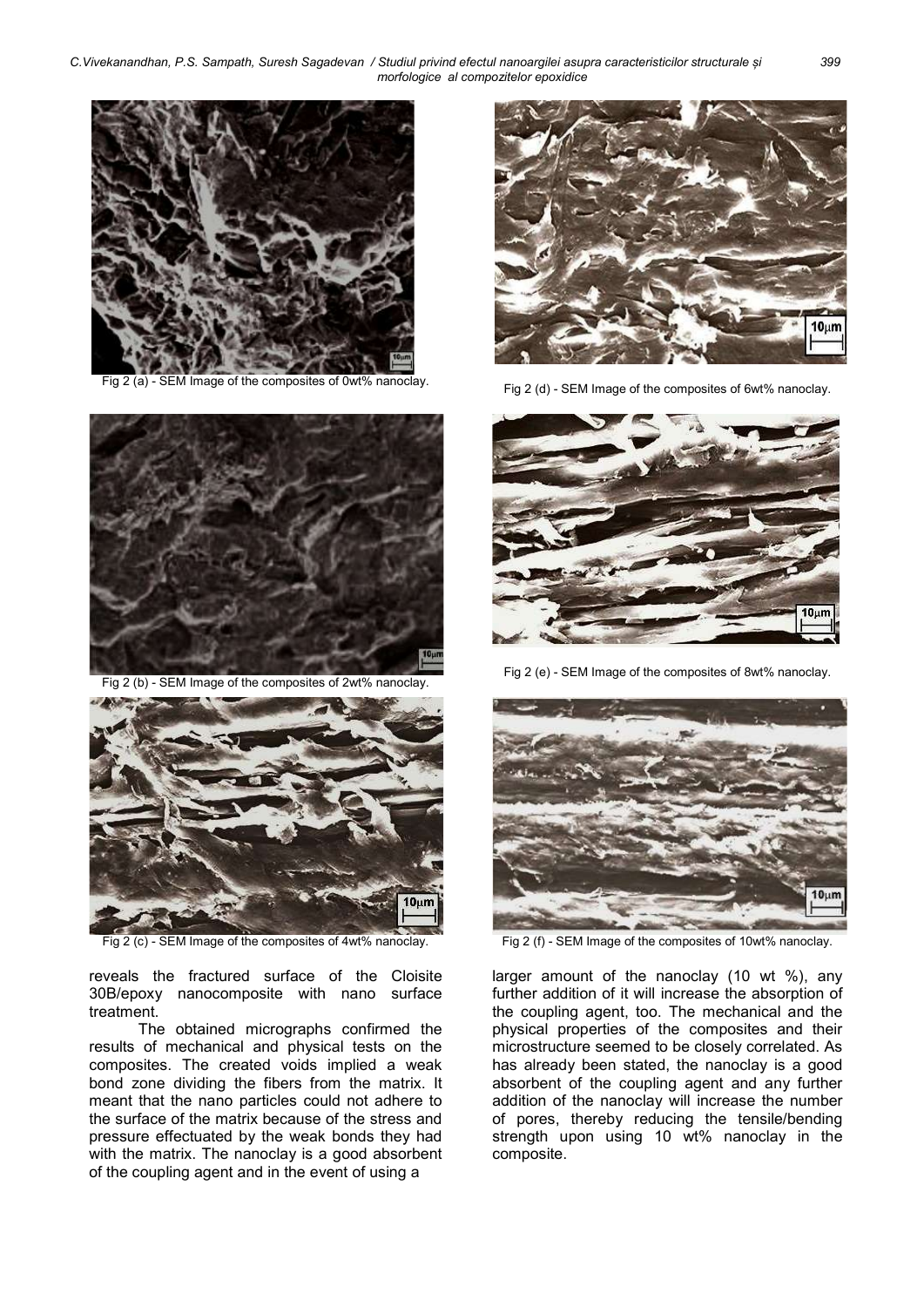C.Vivekanandhan, P.S. Sampath, Suresh Sagadevan / Studiul privind efectul nanoargilei asupra caracteristicilor structurale și 399 morfologice al compozitelor epoxidice



Fig 2 (a) - SEM Image of the composites of 0wt% nanoclay. Fig 2 (d) - SEM Image of the composites of 6wt% nanoclay.



Fig 2 (b) - SEM Image of the composites of 2wt% nanoclay.



Fig 2 (c) - SEM Image of the composites of 4wt% nanoclay. Fig 2 (f) - SEM Image of the composites of 10wt% nanoclay.

reveals the fractured surface of the Cloisite 30B/epoxy nanocomposite with nano surface treatment.

The obtained micrographs confirmed the results of mechanical and physical tests on the composites. The created voids implied a weak bond zone dividing the fibers from the matrix. It meant that the nano particles could not adhere to the surface of the matrix because of the stress and pressure effectuated by the weak bonds they had with the matrix. The nanoclay is a good absorbent of the coupling agent and in the event of using a





Fig 2 (e) - SEM Image of the composites of 8wt% nanoclay.



larger amount of the nanoclay (10 wt %), any further addition of it will increase the absorption of the coupling agent, too. The mechanical and the physical properties of the composites and their microstructure seemed to be closely correlated. As has already been stated, the nanoclay is a good absorbent of the coupling agent and any further addition of the nanoclay will increase the number of pores, thereby reducing the tensile/bending strength upon using 10 wt% nanoclay in the composite.